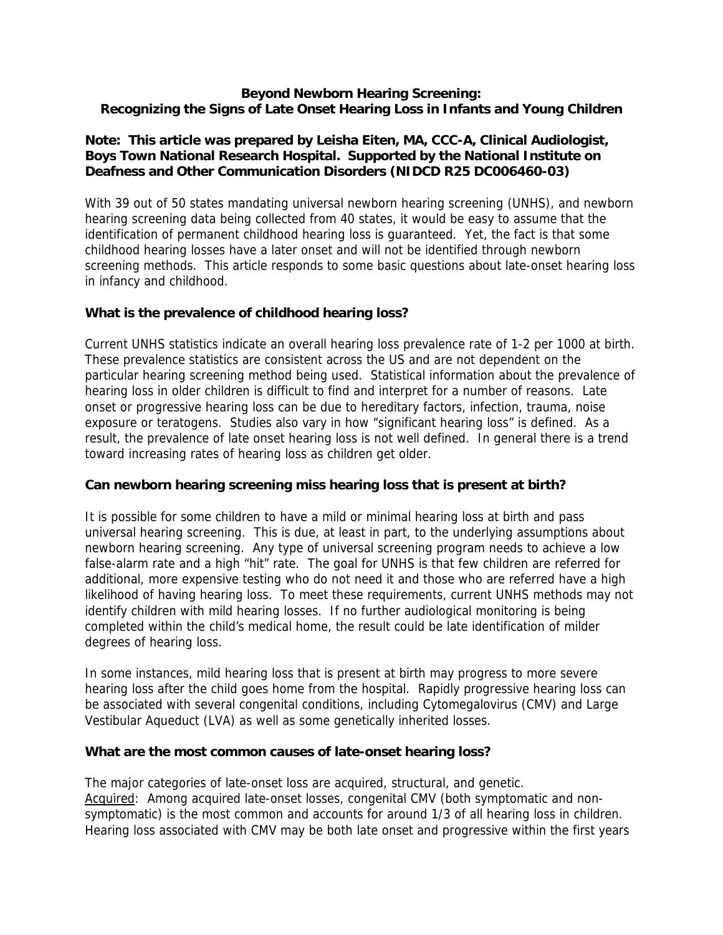### **Beyond Newborn Hearing Screening: Recognizing the Signs of Late Onset Hearing Loss in Infants and Young Children**

# **Note: This article was prepared by Leisha Eiten, MA, CCC-A, Clinical Audiologist, Boys Town National Research Hospital. Supported by the National Institute on Deafness and Other Communication Disorders (NIDCD R25 DC006460-03)**

With 39 out of 50 states mandating universal newborn hearing screening (UNHS), and newborn hearing screening data being collected from 40 states, it would be easy to assume that the identification of permanent childhood hearing loss is guaranteed. Yet, the fact is that some childhood hearing losses have a later onset and will not be identified through newborn screening methods. This article responds to some basic questions about late-onset hearing loss in infancy and childhood.

## **What is the prevalence of childhood hearing loss?**

Current UNHS statistics indicate an overall hearing loss prevalence rate of 1-2 per 1000 at birth. These prevalence statistics are consistent across the US and are not dependent on the particular hearing screening method being used. Statistical information about the prevalence of hearing loss in older children is difficult to find and interpret for a number of reasons. Late onset or progressive hearing loss can be due to hereditary factors, infection, trauma, noise exposure or teratogens. Studies also vary in how "significant hearing loss" is defined. As a result, the prevalence of late onset hearing loss is not well defined. In general there is a trend toward increasing rates of hearing loss as children get older.

#### **Can newborn hearing screening miss hearing loss that is present at birth?**

It is possible for some children to have a mild or minimal hearing loss at birth and pass universal hearing screening. This is due, at least in part, to the underlying assumptions about newborn hearing screening. Any type of universal screening program needs to achieve a low false-alarm rate and a high "hit" rate. The goal for UNHS is that few children are referred for additional, more expensive testing who do not need it and those who are referred have a high likelihood of having hearing loss. To meet these requirements, current UNHS methods may not identify children with mild hearing losses. If no further audiological monitoring is being completed within the child's medical home, the result could be late identification of milder degrees of hearing loss.

In some instances, mild hearing loss that is present at birth may progress to more severe hearing loss after the child goes home from the hospital. Rapidly progressive hearing loss can be associated with several congenital conditions, including Cytomegalovirus (CMV) and Large Vestibular Aqueduct (LVA) as well as some genetically inherited losses.

#### **What are the most common causes of late-onset hearing loss?**

The major categories of late-onset loss are acquired, structural, and genetic. Acquired: Among acquired late-onset losses, congenital CMV (both symptomatic and nonsymptomatic) is the most common and accounts for around 1/3 of all hearing loss in children. Hearing loss associated with CMV may be both late onset and progressive within the first years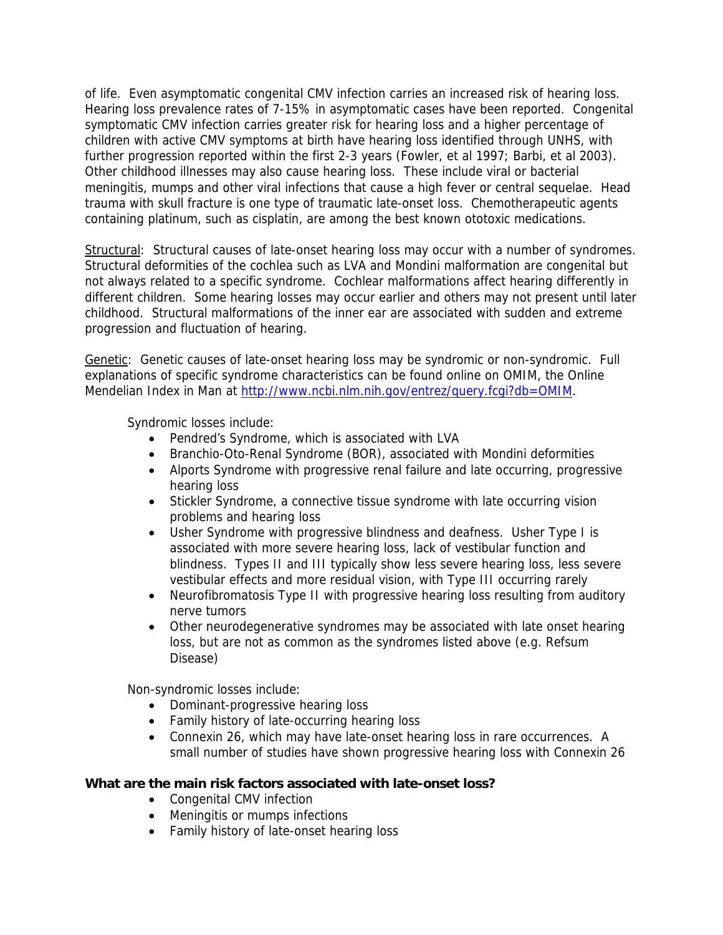of life. Even asymptomatic congenital CMV infection carries an increased risk of hearing loss. Hearing loss prevalence rates of 7-15% in asymptomatic cases have been reported. Congenital symptomatic CMV infection carries greater risk for hearing loss and a higher percentage of children with active CMV symptoms at birth have hearing loss identified through UNHS, with further progression reported within the first 2-3 years (Fowler, et al 1997; Barbi, et al 2003). Other childhood illnesses may also cause hearing loss. These include viral or bacterial meningitis, mumps and other viral infections that cause a high fever or central sequelae. Head trauma with skull fracture is one type of traumatic late-onset loss. Chemotherapeutic agents containing platinum, such as cisplatin, are among the best known ototoxic medications.

Structural: Structural causes of late-onset hearing loss may occur with a number of syndromes. Structural deformities of the cochlea such as LVA and Mondini malformation are congenital but not always related to a specific syndrome. Cochlear malformations affect hearing differently in different children. Some hearing losses may occur earlier and others may not present until later childhood. Structural malformations of the inner ear are associated with sudden and extreme progression and fluctuation of hearing.

Genetic: Genetic causes of late-onset hearing loss may be syndromic or non-syndromic. Full explanations of specific syndrome characteristics can be found online on OMIM, the Online Mendelian Index in Man at [http://www.ncbi.nlm.nih.gov/entrez/query.fcgi?db=OMIM.](http://www.ncbi.nlm.nih.gov/entrez/query.fcgi?db=OMIM)

Syndromic losses include:

- Pendred's Syndrome, which is associated with LVA
- Branchio-Oto-Renal Syndrome (BOR), associated with Mondini deformities
- Alports Syndrome with progressive renal failure and late occurring, progressive hearing loss
- Stickler Syndrome, a connective tissue syndrome with late occurring vision problems and hearing loss
- Usher Syndrome with progressive blindness and deafness. Usher Type I is associated with more severe hearing loss, lack of vestibular function and blindness. Types II and III typically show less severe hearing loss, less severe vestibular effects and more residual vision, with Type III occurring rarely
- Neurofibromatosis Type II with progressive hearing loss resulting from auditory nerve tumors
- Other neurodegenerative syndromes may be associated with late onset hearing loss, but are not as common as the syndromes listed above (e.g. Refsum Disease)

Non-syndromic losses include:

- Dominant-progressive hearing loss
- Family history of late-occurring hearing loss
- Connexin 26, which may have late-onset hearing loss in rare occurrences. A small number of studies have shown progressive hearing loss with Connexin 26

## **What are the main risk factors associated with late-onset loss?**

- Congenital CMV infection
- Meningitis or mumps infections
- Family history of late-onset hearing loss